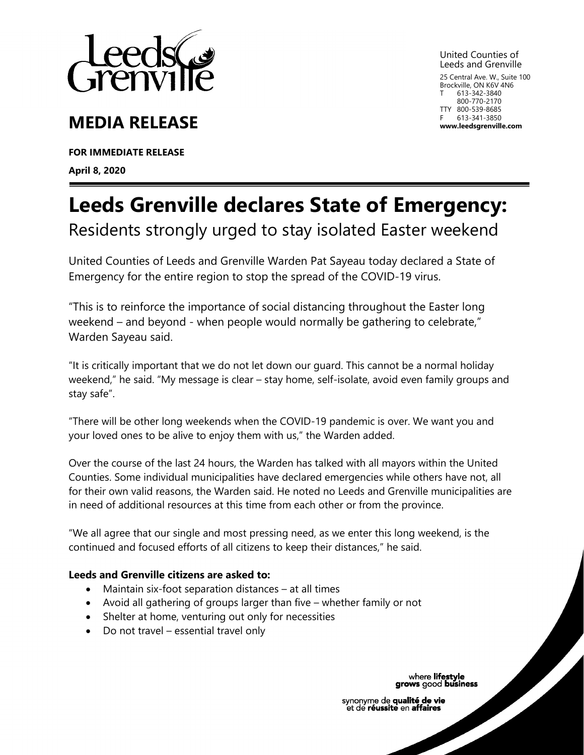

# **MEDIA RELEASE**

**FOR IMMEDIATE RELEASE April 8, 2020**

United Counties of Leeds and Grenville 25 Central Ave. W., Suite 100 Brockville, ON K6V 4N6 613-342-3840 800-770-2170 TTY 800-539-8685

F 613-341-3850 **www.leedsgrenville.com**

**Leeds Grenville declares State of Emergency:**

Residents strongly urged to stay isolated Easter weekend

United Counties of Leeds and Grenville Warden Pat Sayeau today declared a State of Emergency for the entire region to stop the spread of the COVID-19 virus.

"This is to reinforce the importance of social distancing throughout the Easter long weekend – and beyond - when people would normally be gathering to celebrate," Warden Sayeau said.

"It is critically important that we do not let down our guard. This cannot be a normal holiday weekend," he said. "My message is clear – stay home, self-isolate, avoid even family groups and stay safe".

"There will be other long weekends when the COVID-19 pandemic is over. We want you and your loved ones to be alive to enjoy them with us," the Warden added.

Over the course of the last 24 hours, the Warden has talked with all mayors within the United Counties. Some individual municipalities have declared emergencies while others have not, all for their own valid reasons, the Warden said. He noted no Leeds and Grenville municipalities are in need of additional resources at this time from each other or from the province.

"We all agree that our single and most pressing need, as we enter this long weekend, is the continued and focused efforts of all citizens to keep their distances," he said.

## **Leeds and Grenville citizens are asked to:**

- Maintain six-foot separation distances at all times
- Avoid all gathering of groups larger than five whether family or not
- Shelter at home, venturing out only for necessities
- Do not travel essential travel only

## where lifestyle<br>grows good business

synonyme de qualité de vie et de réussite en affaires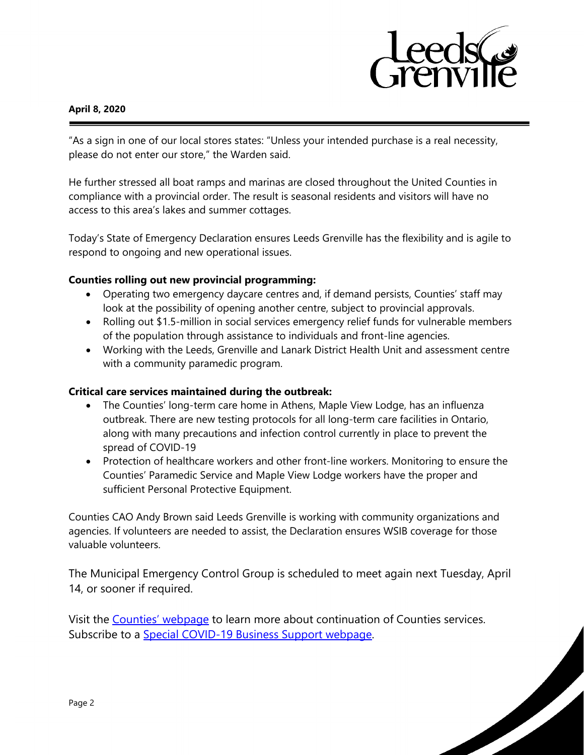

#### **April 8, 2020**

"As a sign in one of our local stores states: "Unless your intended purchase is a real necessity, please do not enter our store," the Warden said.

He further stressed all boat ramps and marinas are closed throughout the United Counties in compliance with a provincial order. The result is seasonal residents and visitors will have no access to this area's lakes and summer cottages.

Today's State of Emergency Declaration ensures Leeds Grenville has the flexibility and is agile to respond to ongoing and new operational issues.

### **Counties rolling out new provincial programming:**

- Operating two emergency daycare centres and, if demand persists, Counties' staff may look at the possibility of opening another centre, subject to provincial approvals.
- Rolling out \$1.5-million in social services emergency relief funds for vulnerable members of the population through assistance to individuals and front-line agencies.
- Working with the Leeds, Grenville and Lanark District Health Unit and assessment centre with a community paramedic program.

## **Critical care services maintained during the outbreak:**

- The Counties' long-term care home in Athens, Maple View Lodge, has an influenza outbreak. There are new testing protocols for all long-term care facilities in Ontario, along with many precautions and infection control currently in place to prevent the spread of COVID-19
- Protection of healthcare workers and other front-line workers. Monitoring to ensure the Counties' Paramedic Service and Maple View Lodge workers have the proper and sufficient Personal Protective Equipment.

Counties CAO Andy Brown said Leeds Grenville is working with community organizations and agencies. If volunteers are needed to assist, the Declaration ensures WSIB coverage for those valuable volunteers.

The Municipal Emergency Control Group is scheduled to meet again next Tuesday, April 14, or sooner if required.

Visit the [Counties' webpage](https://www.leedsgrenville.com/en/services/covid19.aspx) to learn more about continuation of Counties services. Subscribe to a [Special COVID-19 Business Support webpage.](https://invest.leedsgrenville.com/en/contacts-news-events/covid-19.aspx)